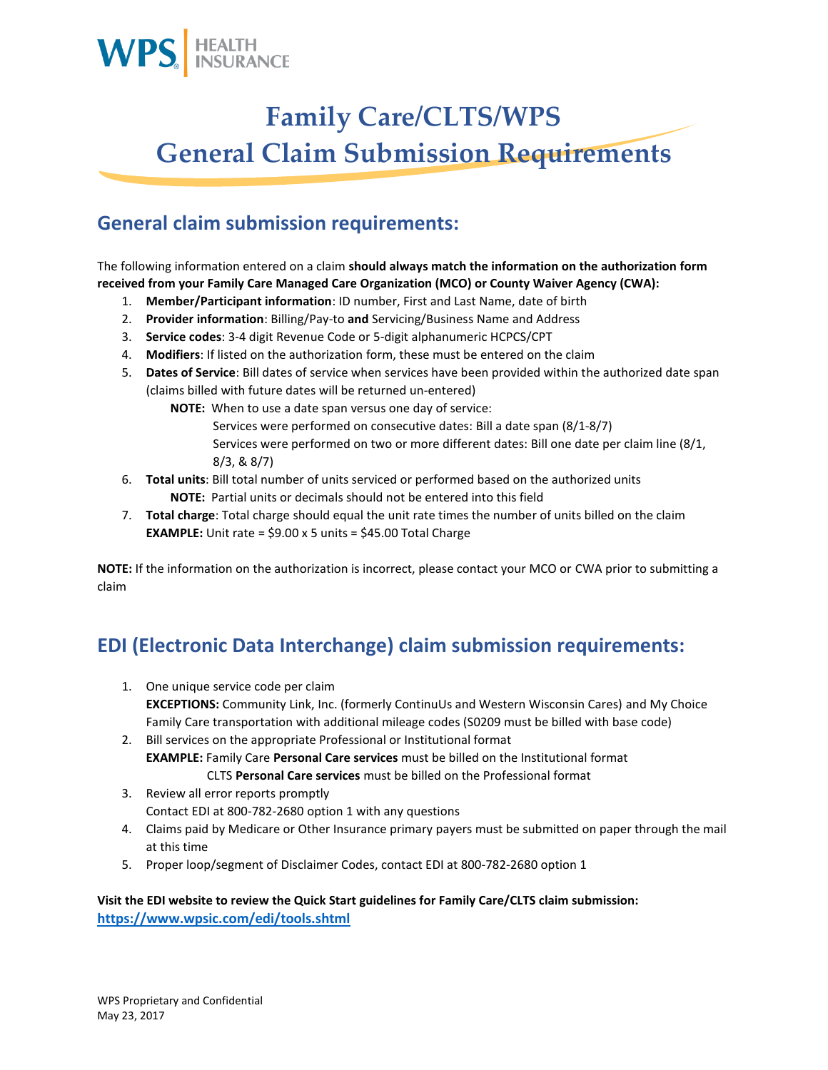

## **Family Care/CLTS/WPS General Claim Submission Requirements**

## **General claim submission requirements:**

The following information entered on a claim **should always match the information on the authorization form received from your Family Care Managed Care Organization (MCO) or County Waiver Agency (CWA):**

- 1. **Member/Participant information**: ID number, First and Last Name, date of birth
- 2. **Provider information**: Billing/Pay-to **and** Servicing/Business Name and Address
- 3. **Service codes**: 3-4 digit Revenue Code or 5-digit alphanumeric HCPCS/CPT
- 4. **Modifiers**: If listed on the authorization form, these must be entered on the claim
- 5. **Dates of Service**: Bill dates of service when services have been provided within the authorized date span (claims billed with future dates will be returned un-entered)

**NOTE:** When to use a date span versus one day of service:

- Services were performed on consecutive dates: Bill a date span (8/1-8/7) Services were performed on two or more different dates: Bill one date per claim line (8/1, 8/3, & 8/7)
- 6. **Total units**: Bill total number of units serviced or performed based on the authorized units **NOTE:** Partial units or decimals should not be entered into this field
- 7. **Total charge**: Total charge should equal the unit rate times the number of units billed on the claim **EXAMPLE:** Unit rate = \$9.00 x 5 units = \$45.00 Total Charge

**NOTE:** If the information on the authorization is incorrect, please contact your MCO or CWA prior to submitting a claim

## **EDI (Electronic Data Interchange) claim submission requirements:**

- 1. One unique service code per claim **EXCEPTIONS:** Community Link, Inc. (formerly ContinuUs and Western Wisconsin Cares) and My Choice Family Care transportation with additional mileage codes (S0209 must be billed with base code)
- 2. Bill services on the appropriate Professional or Institutional format **EXAMPLE:** Family Care **Personal Care services** must be billed on the Institutional format
- CLTS **Personal Care services** must be billed on the Professional format 3. Review all error reports promptly
	- Contact EDI at 800-782-2680 option 1 with any questions
- 4. Claims paid by Medicare or Other Insurance primary payers must be submitted on paper through the mail at this time
- 5. Proper loop/segment of Disclaimer Codes, contact EDI at 800-782-2680 option 1

#### **Visit the EDI website to review the Quick Start guidelines for Family Care/CLTS claim submission: <https://www.wpsic.com/edi/tools.shtml>**